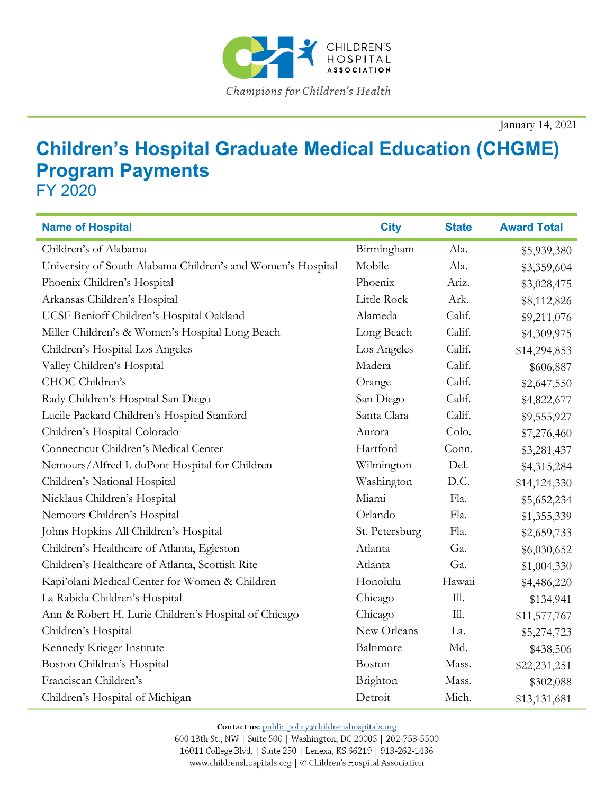

January 14, 2021

## **Children's Hospital Graduate Medical Education (CHGME) Program Payments**

FY 2020

| <b>Name of Hospital</b>                                     | <b>City</b>    | <b>State</b> | <b>Award Total</b> |
|-------------------------------------------------------------|----------------|--------------|--------------------|
| Children's of Alabama                                       | Birmingham     | Ala.         | \$5,939,380        |
| University of South Alabama Children's and Women's Hospital | Mobile         | Ala.         | \$3,359,604        |
| Phoenix Children's Hospital                                 | Phoenix        | Ariz.        | \$3,028,475        |
| Arkansas Children's Hospital                                | Little Rock    | Ark.         | \$8,112,826        |
| UCSF Benioff Children's Hospital Oakland                    | Alameda        | Calif.       | \$9,211,076        |
| Miller Children's & Women's Hospital Long Beach             | Long Beach     | Calif.       | \$4,309,975        |
| Children's Hospital Los Angeles                             | Los Angeles    | Calif.       | \$14,294,853       |
| Valley Children's Hospital                                  | Madera         | Calif.       | \$606,887          |
| CHOC Children's                                             | Orange         | Calif.       | \$2,647,550        |
| Rady Children's Hospital-San Diego                          | San Diego      | Calif.       | \$4,822,677        |
| Lucile Packard Children's Hospital Stanford                 | Santa Clara    | Calif.       | \$9,555,927        |
| Children's Hospital Colorado                                | Aurora         | Colo.        | \$7,276,460        |
| Connecticut Children's Medical Center                       | Hartford       | Conn.        | \$3,281,437        |
| Nemours/Alfred I. duPont Hospital for Children              | Wilmington     | Del.         | \$4,315,284        |
| Children's National Hospital                                | Washington     | D.C.         | \$14,124,330       |
| Nicklaus Children's Hospital                                | Miami          | Fla.         | \$5,652,234        |
| Nemours Children's Hospital                                 | Orlando        | Fla.         | \$1,355,339        |
| Johns Hopkins All Children's Hospital                       | St. Petersburg | Fla.         | \$2,659,733        |
| Children's Healthcare of Atlanta, Egleston                  | Atlanta        | Ga.          | \$6,030,652        |
| Children's Healthcare of Atlanta, Scottish Rite             | Atlanta        | Ga.          | \$1,004,330        |
| Kapi'olani Medical Center for Women & Children              | Honolulu       | Hawaii       | \$4,486,220        |
| La Rabida Children's Hospital                               | Chicago        | Ill.         | \$134,941          |
| Ann & Robert H. Lurie Children's Hospital of Chicago        | Chicago        | Ill.         | \$11,577,767       |
| Children's Hospital                                         | New Orleans    | La.          | \$5,274,723        |
| Kennedy Krieger Institute                                   | Baltimore      | Md.          | \$438,506          |
| Boston Children's Hospital                                  | Boston         | Mass.        | \$22,231,251       |
| Franciscan Children's                                       | Brighton       | Mass.        | \$302,088          |
| Children's Hospital of Michigan                             | Detroit        | Mich.        | \$13,131,681       |

Contact us: public.policy@childrenshospitals.org

600 13th St., NW | Suite 500 | Washington, DC 20005 | 202-753-5500 16011 College Blvd. | Suite 250 | Lenexa, KS 66219 | 913-262-1436 www.childrenshospitals.org | © Children's Hospital Association